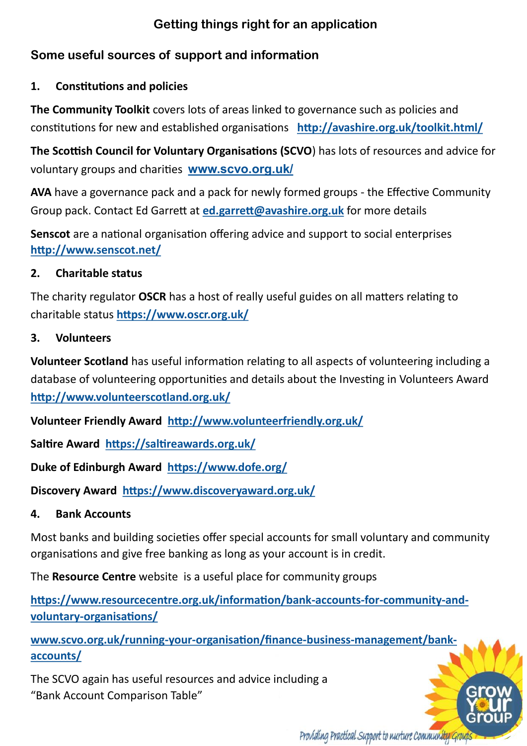# **Getting things right for an application**

# **Some useful sources of support and information**

# **1. Constitutions and policies**

**The Community Toolkit** covers lots of areas linked to governance such as policies and constitutions for new and established organisations **<http://avashire.org.uk/toolkit.html/>**

**The Scottish Council for Voluntary Organisations (SCVO**) has lots of resources and advice for voluntary groups and charities **[www.scvo.org.uk/](http://www.scvo.org.uk/)**

**AVA** have a governance pack and a pack for newly formed groups - the Effective Community Group pack. Contact Ed Garrett at **[ed.garrett@avashire.org.uk](mailto:ed.garrett@avashire.org.uk)** for more details

**Senscot** are a national organisation offering advice and support to social enterprises **<http://www.senscot.net/>**

# **2. Charitable status**

The charity regulator **OSCR** has a host of really useful guides on all matters relating to charitable status **<https://www.oscr.org.uk/>**

# **3. Volunteers**

**Volunteer Scotland** has useful information relating to all aspects of volunteering including a database of volunteering opportunities and details about the Investing in Volunteers Award **<http://www.volunteerscotland.org.uk/>**

**Volunteer Friendly Award <http://www.volunteerfriendly.org.uk/>**

**Saltire Award <https://saltireawards.org.uk/>**

**Duke of Edinburgh Award <https://www.dofe.org/>**

**Discovery Award <https://www.discoveryaward.org.uk/>**

# **4. Bank Accounts**

Most banks and building societies offer special accounts for small voluntary and community organisations and give free banking as long as your account is in credit.

The **Resource Centre** website is a useful place for community groups

**[https://www.resourcecentre.org.uk/information/bank](https://www.resourcecentre.org.uk/information/bank-accounts-for-community-and-voluntary-organisations/)-accounts-for-community-andvoluntary-[organisations/](https://www.resourcecentre.org.uk/information/bank-accounts-for-community-and-voluntary-organisations/)**

**[www.scvo.org.uk/running](http://www.scvo.org.uk/running-your-organisation/finance-business-management/bank-accounts/)-your-organisation/finance-business-management/bank[accounts/](http://www.scvo.org.uk/running-your-organisation/finance-business-management/bank-accounts/)**

The SCVO again has useful resources and advice including a "Bank Account Comparison Table"

Providing Practical Support to nurture Community Group.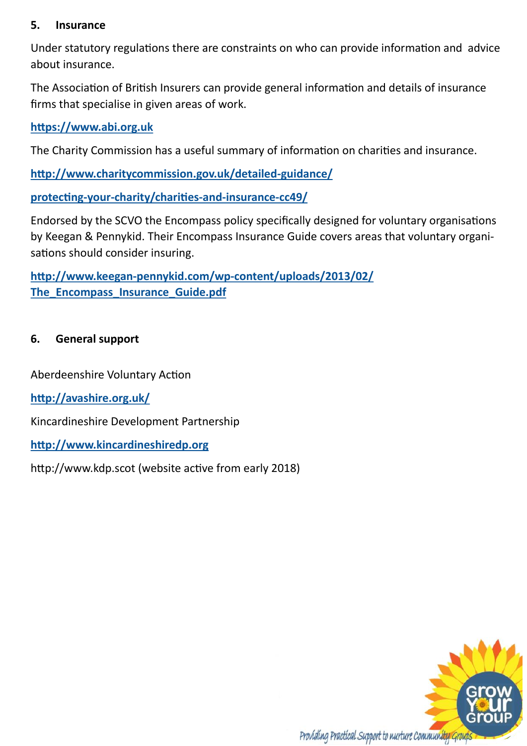### **5. Insurance**

Under statutory regulations there are constraints on who can provide information and advice about insurance.

The Association of British Insurers can provide general information and details of insurance firms that specialise in given areas of work.

**<https://www.abi.org.uk>**

The Charity Commission has a useful summary of information on charities and insurance.

**[http://www.charitycommission.gov.uk/detailed](http://www.charitycommission.gov.uk/detailed-guidance/)-guidance/**

**protecting-your-[charity/charities](http://www.charitycommission.gov.uk/detailed-guidance/)-and-insurance-cc49/**

Endorsed by the SCVO the Encompass policy specifically designed for voluntary organisations by Keegan & Pennykid. Their Encompass Insurance Guide covers areas that voluntary organisations should consider insuring.

**http://www.keegan-pennykid.com/wp-[content/uploads/2013/02/](http://www.keegan-pennykid.com/wp-content/uploads/2013/02/The_Encompass_Insurance_Guide.pdf) [The\\_Encompass\\_Insurance\\_Guide.pdf](http://www.keegan-pennykid.com/wp-content/uploads/2013/02/The_Encompass_Insurance_Guide.pdf)**

### **6. General support**

Aberdeenshire Voluntary Action

**<http://avashire.org.uk/>**

Kincardineshire Development Partnership

**<http://www.kincardineshiredp.org>**

http://www.kdp.scot (website active from early 2018)